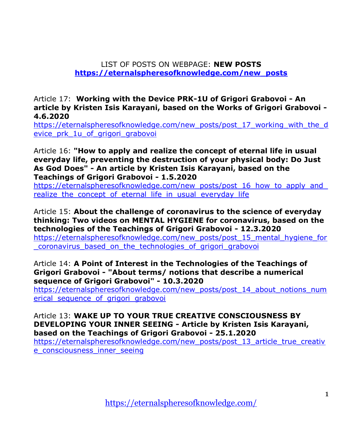LIST OF POSTS ON WEBPAGE: **NEW POSTS [https://eternalspheresofknowledge.com/new\\_posts](https://eternalspheresofknowledge.com/new_posts)**

Article 17: **Working with the Device PRK-1U of Grigori Grabovoi - An article by Kristen Isis Karayani, based on the Works of Grigori Grabovoi - 4.6.2020**

[https://eternalspheresofknowledge.com/new\\_posts/post\\_17\\_working\\_with\\_the\\_d](https://eternalspheresofknowledge.com/new_posts/post_17_working_with_the_device_prk_1u_of_grigori_grabovoi) evice prk 1u of grigori grabovoi

Article 16: **["How to apply and realize the concept of eternal life in usual](https://eternalspheresofknowledge.com/new_posts/post_16_how_to_apply_and_realize_the_concept_of_eternal_life_in_usual_everyday_life)  [everyday life, preventing the destruction of your physical body: Do Just](https://eternalspheresofknowledge.com/new_posts/post_16_how_to_apply_and_realize_the_concept_of_eternal_life_in_usual_everyday_life)  As God Does" - [An article by Kristen Isis Karayani, based on the](https://eternalspheresofknowledge.com/new_posts/post_16_how_to_apply_and_realize_the_concept_of_eternal_life_in_usual_everyday_life)  [Teachings of Grigori Grabovoi -](https://eternalspheresofknowledge.com/new_posts/post_16_how_to_apply_and_realize_the_concept_of_eternal_life_in_usual_everyday_life) 1.5.2020**

https://eternalspheresofknowledge.com/new\_posts/post\_16\_how\_to\_apply\_and realize the concept of eternal life in usual everyday life

Article 15: **About the challenge of coronavirus to the science of everyday thinking: Two videos on MENTAL HYGIENE for coronavirus, based on the technologies of the Teachings of Grigori Grabovoi - 12.3.2020**

[https://eternalspheresofknowledge.com/new\\_posts/post\\_15\\_mental\\_hygiene\\_for](https://eternalspheresofknowledge.com/new_posts/post_15_mental_hygiene_for_coronavirus_based_on_the_technologies_of_grigori_grabovoi) [\\_coronavirus\\_based\\_on\\_the\\_technologies\\_of\\_grigori\\_grabovoi](https://eternalspheresofknowledge.com/new_posts/post_15_mental_hygiene_for_coronavirus_based_on_the_technologies_of_grigori_grabovoi)

Article 14: **[A Point of Interest in the Technologies of the Teachings of](https://eternalspheresofknowledge.com/new_posts/post_14_about_notions_numerical_sequence_of_grigori_grabovoi)  Grigori Grabovoi - ["About terms/ notions that describe a numerical](https://eternalspheresofknowledge.com/new_posts/post_14_about_notions_numerical_sequence_of_grigori_grabovoi)  [sequence of Grigori Grabovoi" -](https://eternalspheresofknowledge.com/new_posts/post_14_about_notions_numerical_sequence_of_grigori_grabovoi) 10.3.2020**

[https://eternalspheresofknowledge.com/new\\_posts/post\\_14\\_about\\_notions\\_num](https://eternalspheresofknowledge.com/new_posts/post_14_about_notions_numerical_sequence_of_grigori_grabovoi) erical sequence of grigori grabovoi

Article 13: **[WAKE UP TO YOUR TRUE CREATIVE CONSCIOUSNESS BY](https://eternalspheresofknowledge.com/new_posts/post_13_article_true_creative_consciousness_inner_seeing)  [DEVELOPING YOUR INNER SEEING -](https://eternalspheresofknowledge.com/new_posts/post_13_article_true_creative_consciousness_inner_seeing) Article by Kristen Isis Karayani, [based on the Teachings of Grigori Grabovoi -](https://eternalspheresofknowledge.com/new_posts/post_13_article_true_creative_consciousness_inner_seeing) 25.1.2020**

[https://eternalspheresofknowledge.com/new\\_posts/post\\_13\\_article\\_true\\_creativ](https://eternalspheresofknowledge.com/new_posts/post_13_article_true_creative_consciousness_inner_seeing) e\_consciousness\_inner\_seeing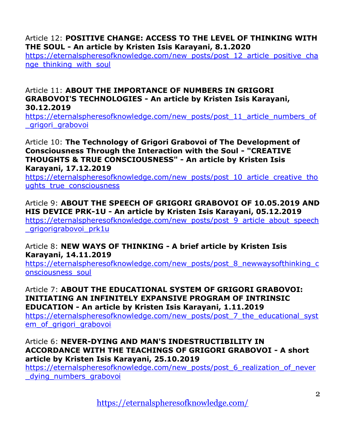# Article 12: **POSITIVE [CHANGE: ACCESS TO THE LEVEL OF THINKING WITH](https://eternalspheresofknowledge.com/new_posts/post_12_article_positive_change_thinking_with_soul)  THE SOUL - [An article by Kristen Isis Karayani, 8.1.2020](https://eternalspheresofknowledge.com/new_posts/post_12_article_positive_change_thinking_with_soul)**

[https://eternalspheresofknowledge.com/new\\_posts/post\\_12\\_article\\_positive\\_cha](https://eternalspheresofknowledge.com/new_posts/post_12_article_positive_change_thinking_with_soul) nge\_thinking\_with\_soul

# Article 11: **[ABOUT THE IMPORTANCE OF NUMBERS IN GRIGORI](https://eternalspheresofknowledge.com/new_posts/post_11_article_numbers_of_grigori_grabovoi)  GRABOVOI'S TECHNOLOGIES - [An article by Kristen Isis Karayani,](https://eternalspheresofknowledge.com/new_posts/post_11_article_numbers_of_grigori_grabovoi)  [30.12.2019](https://eternalspheresofknowledge.com/new_posts/post_11_article_numbers_of_grigori_grabovoi)**

[https://eternalspheresofknowledge.com/new\\_posts/post\\_11\\_article\\_numbers\\_of](https://eternalspheresofknowledge.com/new_posts/post_11_article_numbers_of_grigori_grabovoi) \_grigori\_grabovoi

### Article 10: **[The Technology of Grigori Grabovoi of The Development of](https://eternalspheresofknowledge.com/new_posts/post_10_article_creative_thoughts_true_consciousness)  [Consciousness Through the Interaction with the Soul -](https://eternalspheresofknowledge.com/new_posts/post_10_article_creative_thoughts_true_consciousness) "CREATIVE [THOUGHTS & TRUE CONSCIOUSNESS" -](https://eternalspheresofknowledge.com/new_posts/post_10_article_creative_thoughts_true_consciousness) An article by Kristen Isis [Karayani, 17.12.2019](https://eternalspheresofknowledge.com/new_posts/post_10_article_creative_thoughts_true_consciousness)**

[https://eternalspheresofknowledge.com/new\\_posts/post\\_10\\_article\\_creative\\_tho](https://eternalspheresofknowledge.com/new_posts/post_10_article_creative_thoughts_true_consciousness) ughts true consciousness

Article 9: **[ABOUT THE SPEECH OF GRIGORI GRABOVOI OF 10.05.2019 AND](https://eternalspheresofknowledge.com/new_posts/post_9_article_about_speech_grigorigrabovoi_prk1u)  HIS DEVICE PRK-1U - [An article by Kristen Isis Karayani, 05.12.2019](https://eternalspheresofknowledge.com/new_posts/post_9_article_about_speech_grigorigrabovoi_prk1u)** [https://eternalspheresofknowledge.com/new\\_posts/post\\_9\\_article\\_about\\_speech](https://eternalspheresofknowledge.com/new_posts/post_9_article_about_speech_grigorigrabovoi_prk1u) grigorigrabovoi prk1u

# Article 8: **NEW WAYS OF THINKING - A brief article by Kristen Isis Karayani, 14.11.2019**

[https://eternalspheresofknowledge.com/new\\_posts/post\\_8\\_newwaysofthinking\\_c](https://eternalspheresofknowledge.com/new_posts/post_8_newwaysofthinking_consciousness_soul) [onsciousness\\_soul](https://eternalspheresofknowledge.com/new_posts/post_8_newwaysofthinking_consciousness_soul)

### Article 7: **[ABOUT THE EDUCATIONAL SYSTEM OF GRIGORI GRABOVOI:](https://eternalspheresofknowledge.com/new_posts/post_7_the_educational_system_of_grigori_grabovoi)  [INITIATING AN INFINITELY EXPANSIVE PROGRAM OF INTRINSIC](https://eternalspheresofknowledge.com/new_posts/post_7_the_educational_system_of_grigori_grabovoi)  EDUCATION - [An article by Kristen Isis Karayani, 1.11.2019](https://eternalspheresofknowledge.com/new_posts/post_7_the_educational_system_of_grigori_grabovoi)**

[https://eternalspheresofknowledge.com/new\\_posts/post\\_7\\_the\\_educational\\_syst](https://eternalspheresofknowledge.com/new_posts/post_7_the_educational_system_of_grigori_grabovoi) em of grigori grabovoi

## Article 6: **[NEVER-DYING AND MAN'S INDESTRUCTIBILITY IN](https://eternalspheresofknowledge.com/new_posts/post_6_realization_of_never_dying_numbers_grabovoi)  [ACCORDANCE WITH THE TEACHINGS OF GRIGORI GRABOVOI -](https://eternalspheresofknowledge.com/new_posts/post_6_realization_of_never_dying_numbers_grabovoi) A short [article by Kristen Isis Karayani, 25.10.2019](https://eternalspheresofknowledge.com/new_posts/post_6_realization_of_never_dying_numbers_grabovoi)**

[https://eternalspheresofknowledge.com/new\\_posts/post\\_6\\_realization\\_of\\_never](https://eternalspheresofknowledge.com/new_posts/post_6_realization_of_never_dying_numbers_grabovoi) \_dying\_numbers\_grabovoi